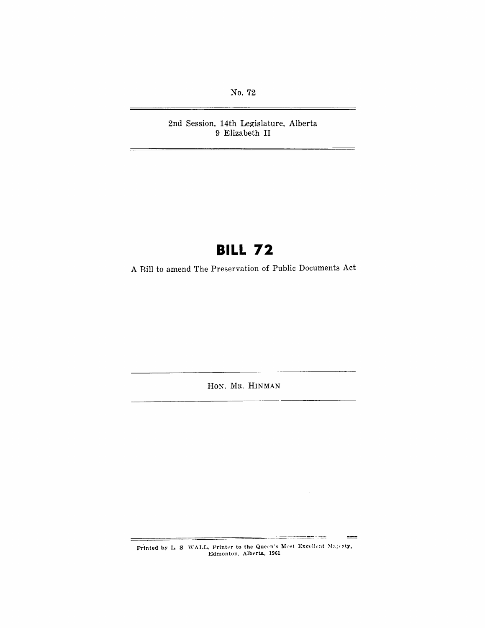No. 72

2nd Session, 14th Legislature, Alberta 9 Elizabeth II

# **BILL 72**

A Bill to amend The Preservation of Public Documents Act

HON. MR. HINMAN

Printed by L. S. WALL, Printer to the Queen's Most Excellent Majesty,<br>Edmonton, Alberta, 1961

e vale

 $=$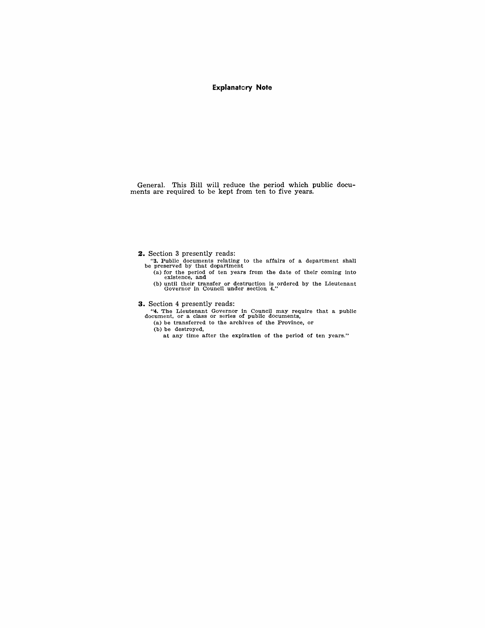#### **Explanatory Note**

General. This Bill will reduce the period which public docu-ments are required to be kept from ten to five years.

**2.** Section 3 presently reads:

- "3. Public documents relating to the affairs of a department shall be preserved by that department
	- (a) for the period of ten years from the date of their coming into existence, and (b) until their transfer or destruction is ordered by the Lieutenant Governor in Council under section 4."

**3.** Section 4 presently reads:

- "4. The Lieutenant Governor in Council may require that a public document, or a class or series of public documents,
	- (a) be transferred to the archives of the Province, or
	- (b) be destroyed,
		- at any time afiter the expiration of the period of ten years."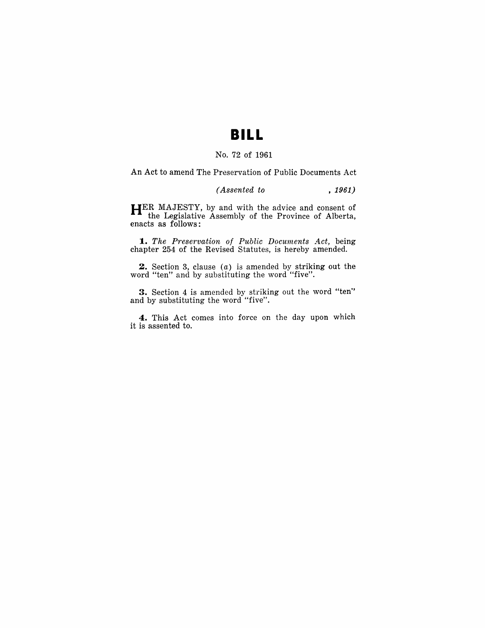### **BILL**

#### No. 72 of 1961

An Act to amend The Preservation of Public Documents Act

#### *(Assented to* , 1961)

**HER** MAJESTY, by and with the advice and consent of the Legislative Assembly of the Province of Alberta, enacts as follows:

**1.** The Preservation of Public Documents Act, being chapter 254 of the Revised Statutes, is hereby amended.

**2.** Section 3, clause (a) is amended by striking out the word "ten" and by substituting the word "five".

**3.** Section 4 is amended by striking out the word "ten" and by substituting the word "five".

**4.** This Act comes into force on the day upon which it is assented to.